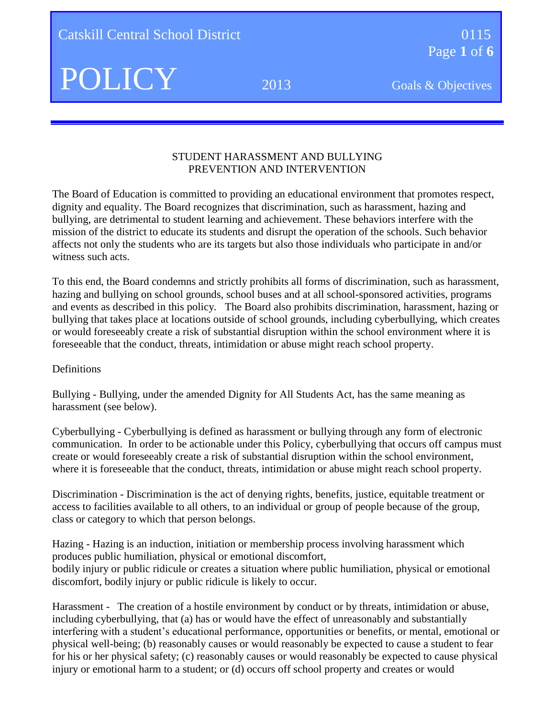**Catskill Central School District 0115** 0115

Page **1** of **6**

#### STUDENT HARASSMENT AND BULLYING PREVENTION AND INTERVENTION

The Board of Education is committed to providing an educational environment that promotes respect, dignity and equality. The Board recognizes that discrimination, such as harassment, hazing and bullying, are detrimental to student learning and achievement. These behaviors interfere with the mission of the district to educate its students and disrupt the operation of the schools. Such behavior affects not only the students who are its targets but also those individuals who participate in and/or witness such acts.

To this end, the Board condemns and strictly prohibits all forms of discrimination, such as harassment, hazing and bullying on school grounds, school buses and at all school-sponsored activities, programs and events as described in this policy. The Board also prohibits discrimination, harassment, hazing or bullying that takes place at locations outside of school grounds, including cyberbullying, which creates or would foreseeably create a risk of substantial disruption within the school environment where it is foreseeable that the conduct, threats, intimidation or abuse might reach school property.

#### Definitions

Bullying - Bullying, under the amended Dignity for All Students Act, has the same meaning as harassment (see below).

Cyberbullying - Cyberbullying is defined as harassment or bullying through any form of electronic communication. In order to be actionable under this Policy, cyberbullying that occurs off campus must create or would foreseeably create a risk of substantial disruption within the school environment, where it is foreseeable that the conduct, threats, intimidation or abuse might reach school property.

Discrimination - Discrimination is the act of denying rights, benefits, justice, equitable treatment or access to facilities available to all others, to an individual or group of people because of the group, class or category to which that person belongs.

Hazing - Hazing is an induction, initiation or membership process involving harassment which produces public humiliation, physical or emotional discomfort, bodily injury or public ridicule or creates a situation where public humiliation, physical or emotional discomfort, bodily injury or public ridicule is likely to occur.

Harassment - The creation of a hostile environment by conduct or by threats, intimidation or abuse, including cyberbullying, that (a) has or would have the effect of unreasonably and substantially interfering with a student's educational performance, opportunities or benefits, or mental, emotional or physical well-being; (b) reasonably causes or would reasonably be expected to cause a student to fear for his or her physical safety; (c) reasonably causes or would reasonably be expected to cause physical injury or emotional harm to a student; or (d) occurs off school property and creates or would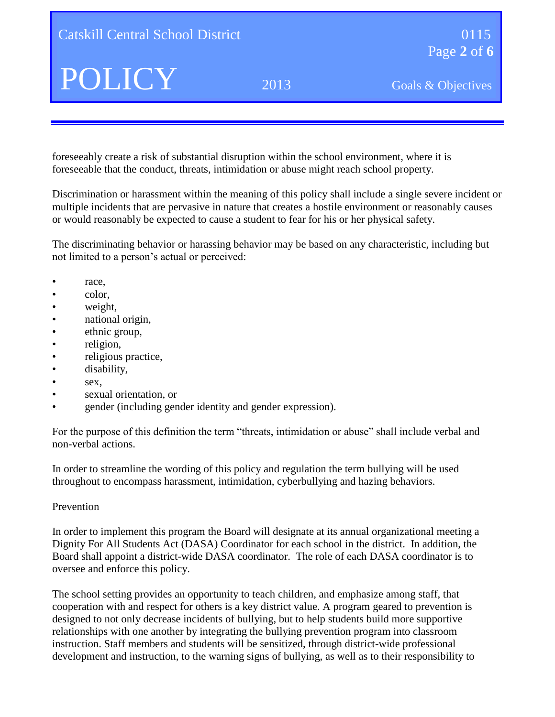foreseeably create a risk of substantial disruption within the school environment, where it is foreseeable that the conduct, threats, intimidation or abuse might reach school property.

Discrimination or harassment within the meaning of this policy shall include a single severe incident or multiple incidents that are pervasive in nature that creates a hostile environment or reasonably causes or would reasonably be expected to cause a student to fear for his or her physical safety.

The discriminating behavior or harassing behavior may be based on any characteristic, including but not limited to a person's actual or perceived:

- race.
- color,
- weight,
- national origin,
- ethnic group,
- religion,
- religious practice,
- disability,
- $•$  sex,
- sexual orientation, or
- gender (including gender identity and gender expression).

For the purpose of this definition the term "threats, intimidation or abuse" shall include verbal and non-verbal actions.

In order to streamline the wording of this policy and regulation the term bullying will be used throughout to encompass harassment, intimidation, cyberbullying and hazing behaviors.

#### Prevention

In order to implement this program the Board will designate at its annual organizational meeting a Dignity For All Students Act (DASA) Coordinator for each school in the district. In addition, the Board shall appoint a district-wide DASA coordinator. The role of each DASA coordinator is to oversee and enforce this policy.

The school setting provides an opportunity to teach children, and emphasize among staff, that cooperation with and respect for others is a key district value. A program geared to prevention is designed to not only decrease incidents of bullying, but to help students build more supportive relationships with one another by integrating the bullying prevention program into classroom instruction. Staff members and students will be sensitized, through district-wide professional development and instruction, to the warning signs of bullying, as well as to their responsibility to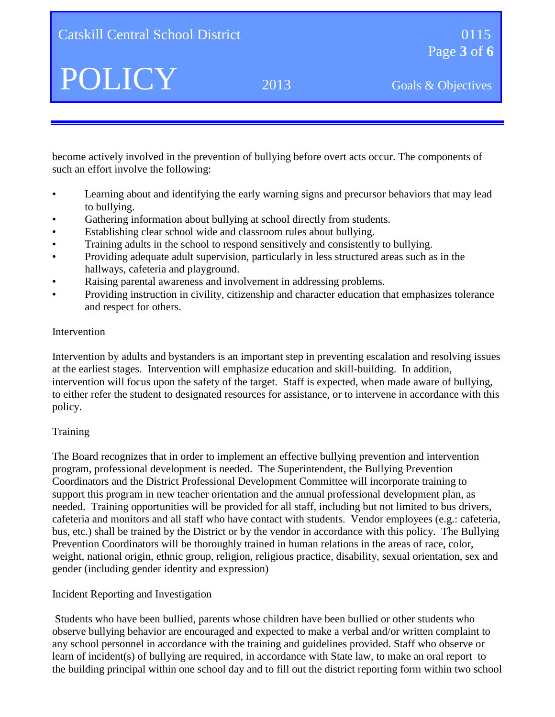become actively involved in the prevention of bullying before overt acts occur. The components of such an effort involve the following:

- Learning about and identifying the early warning signs and precursor behaviors that may lead to bullying.
- Gathering information about bullying at school directly from students.
- Establishing clear school wide and classroom rules about bullying.
- Training adults in the school to respond sensitively and consistently to bullying.
- Providing adequate adult supervision, particularly in less structured areas such as in the hallways, cafeteria and playground.
- Raising parental awareness and involvement in addressing problems.
- Providing instruction in civility, citizenship and character education that emphasizes tolerance and respect for others.

### Intervention

Intervention by adults and bystanders is an important step in preventing escalation and resolving issues at the earliest stages. Intervention will emphasize education and skill-building. In addition, intervention will focus upon the safety of the target. Staff is expected, when made aware of bullying, to either refer the student to designated resources for assistance, or to intervene in accordance with this policy.

# **Training**

The Board recognizes that in order to implement an effective bullying prevention and intervention program, professional development is needed. The Superintendent, the Bullying Prevention Coordinators and the District Professional Development Committee will incorporate training to support this program in new teacher orientation and the annual professional development plan, as needed. Training opportunities will be provided for all staff, including but not limited to bus drivers, cafeteria and monitors and all staff who have contact with students. Vendor employees (e.g.: cafeteria, bus, etc.) shall be trained by the District or by the vendor in accordance with this policy. The Bullying Prevention Coordinators will be thoroughly trained in human relations in the areas of race, color, weight, national origin, ethnic group, religion, religious practice, disability, sexual orientation, sex and gender (including gender identity and expression)

# Incident Reporting and Investigation

Students who have been bullied, parents whose children have been bullied or other students who observe bullying behavior are encouraged and expected to make a verbal and/or written complaint to any school personnel in accordance with the training and guidelines provided. Staff who observe or learn of incident(s) of bullying are required, in accordance with State law, to make an oral report to the building principal within one school day and to fill out the district reporting form within two school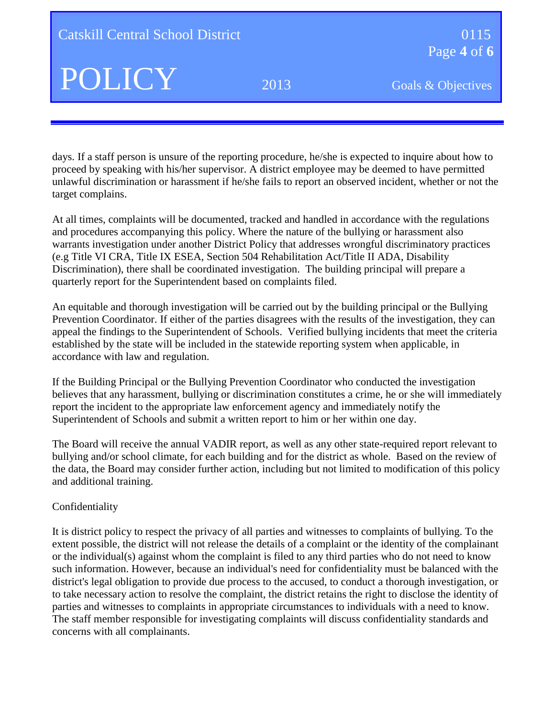days. If a staff person is unsure of the reporting procedure, he/she is expected to inquire about how to proceed by speaking with his/her supervisor. A district employee may be deemed to have permitted unlawful discrimination or harassment if he/she fails to report an observed incident, whether or not the target complains.

At all times, complaints will be documented, tracked and handled in accordance with the regulations and procedures accompanying this policy. Where the nature of the bullying or harassment also warrants investigation under another District Policy that addresses wrongful discriminatory practices (e.g Title VI CRA, Title IX ESEA, Section 504 Rehabilitation Act/Title II ADA, Disability Discrimination), there shall be coordinated investigation. The building principal will prepare a quarterly report for the Superintendent based on complaints filed.

An equitable and thorough investigation will be carried out by the building principal or the Bullying Prevention Coordinator. If either of the parties disagrees with the results of the investigation, they can appeal the findings to the Superintendent of Schools. Verified bullying incidents that meet the criteria established by the state will be included in the statewide reporting system when applicable, in accordance with law and regulation.

If the Building Principal or the Bullying Prevention Coordinator who conducted the investigation believes that any harassment, bullying or discrimination constitutes a crime, he or she will immediately report the incident to the appropriate law enforcement agency and immediately notify the Superintendent of Schools and submit a written report to him or her within one day.

The Board will receive the annual VADIR report, as well as any other state-required report relevant to bullying and/or school climate, for each building and for the district as whole. Based on the review of the data, the Board may consider further action, including but not limited to modification of this policy and additional training.

#### Confidentiality

It is district policy to respect the privacy of all parties and witnesses to complaints of bullying. To the extent possible, the district will not release the details of a complaint or the identity of the complainant or the individual(s) against whom the complaint is filed to any third parties who do not need to know such information. However, because an individual's need for confidentiality must be balanced with the district's legal obligation to provide due process to the accused, to conduct a thorough investigation, or to take necessary action to resolve the complaint, the district retains the right to disclose the identity of parties and witnesses to complaints in appropriate circumstances to individuals with a need to know. The staff member responsible for investigating complaints will discuss confidentiality standards and concerns with all complainants.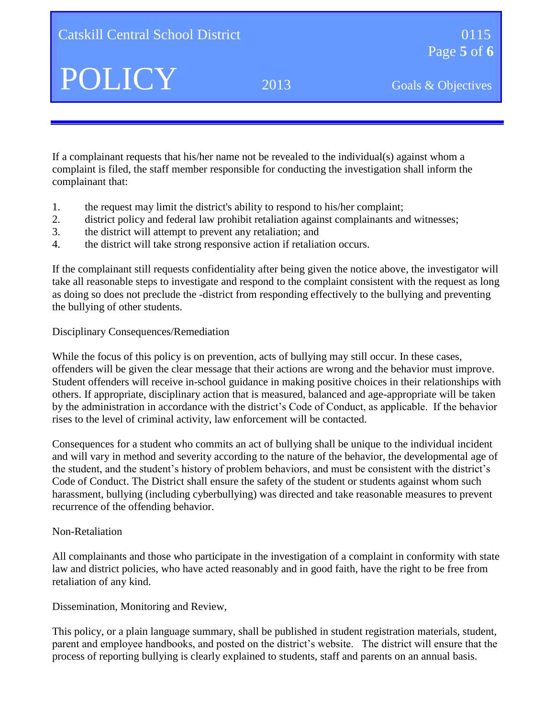If a complainant requests that his/her name not be revealed to the individual(s) against whom a complaint is filed, the staff member responsible for conducting the investigation shall inform the complainant that:

- 1. the request may limit the district's ability to respond to his/her complaint;
- 2. district policy and federal law prohibit retaliation against complainants and witnesses;
- 3. the district will attempt to prevent any retaliation; and
- 4. the district will take strong responsive action if retaliation occurs.

If the complainant still requests confidentiality after being given the notice above, the investigator will take all reasonable steps to investigate and respond to the complaint consistent with the request as long as doing so does not preclude the -district from responding effectively to the bullying and preventing the bullying of other students.

# Disciplinary Consequences/Remediation

While the focus of this policy is on prevention, acts of bullying may still occur. In these cases, offenders will be given the clear message that their actions are wrong and the behavior must improve. Student offenders will receive in-school guidance in making positive choices in their relationships with others. If appropriate, disciplinary action that is measured, balanced and age-appropriate will be taken by the administration in accordance with the district's Code of Conduct, as applicable. If the behavior rises to the level of criminal activity, law enforcement will be contacted.

Consequences for a student who commits an act of bullying shall be unique to the individual incident and will vary in method and severity according to the nature of the behavior, the developmental age of the student, and the student's history of problem behaviors, and must be consistent with the district's Code of Conduct. The District shall ensure the safety of the student or students against whom such harassment, bullying (including cyberbullying) was directed and take reasonable measures to prevent recurrence of the offending behavior.

# Non-Retaliation

All complainants and those who participate in the investigation of a complaint in conformity with state law and district policies, who have acted reasonably and in good faith, have the right to be free from retaliation of any kind.

Dissemination, Monitoring and Review,

This policy, or a plain language summary, shall be published in student registration materials, student, parent and employee handbooks, and posted on the district's website. The district will ensure that the process of reporting bullying is clearly explained to students, staff and parents on an annual basis.